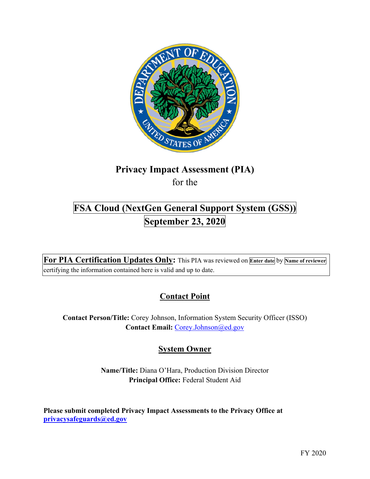

# **Privacy Impact Assessment (PIA)**

for the

## **FSA Cloud (NextGen General Support System (GSS)) September 23, 2020**

 **For PIA Certification Updates Only:** This PIA was reviewed on **Enter date** by **Name of reviewer**  certifying the information contained here is valid and up to date.

### **Contact Point**

**Contact Person/Title:** Corey Johnson, Information System Security Officer (ISSO) **Contact Email:** [Corey.Johnson@ed.gov](mailto:Corey.Johnson@ed.gov)

### **System Owner**

**Name/Title:** Diana O'Hara, Production Division Director **Principal Office:** Federal Student Aid

 **Please submit completed Privacy Impact Assessments to the Privacy Office at [privacysafeguards@ed.gov](mailto:privacysafeguards@ed.gov)**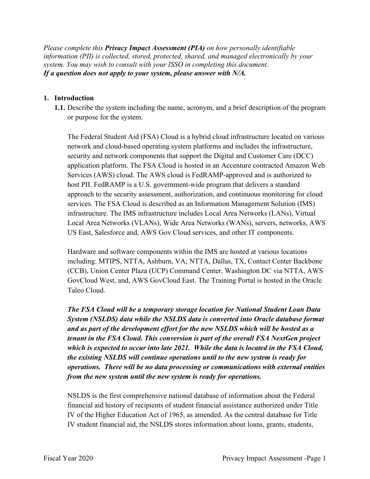*Please complete this Privacy Impact Assessment (PIA) on how personally identifiable information (PII) is collected, stored, protected, shared, and managed electronically by your system. You may wish to consult with your ISSO in completing this document. If a question does not apply to your system, please answer with N/A.* 

#### **1. Introduction**

or purpose for the system. **1.1.** Describe the system including the name, acronym, and a brief description of the program

 network and cloud-based operating system platforms and includes the infrastructure, Local Area Networks (VLANs), Wide Area Networks (WANs), servers, networks, AWS The Federal Student Aid (FSA) Cloud is a hybrid cloud infrastructure located on various security and network components that support the Digital and Customer Care (DCC) application platform. The FSA Cloud is hosted in an Accenture contracted Amazon Web Services (AWS) cloud. The AWS cloud is FedRAMP-approved and is authorized to host PII. FedRAMP is a U.S. government-wide program that delivers a standard approach to the security assessment, authorization, and continuous monitoring for cloud services. The FSA Cloud is described as an Information Management Solution (IMS) infrastructure. The IMS infrastructure includes Local Area Networks (LANs), Virtual US East, Salesforce and, AWS Gov Cloud services, and other IT components.

 Hardware and software components within the IMS are hosted at various locations including: MTIPS, NTTA, Ashburn, VA; NTTA, Dallas, TX, Contact Center Backbone (CCB), Union Center Plaza (UCP) Command Center, Washington DC via NTTA, AWS GovCloud West, and, AWS GovCloud East. The Training Portal is hosted in the Oracle Taleo Cloud.

 *the existing NSLDS will continue operations until to the new system is ready for operations. There will be no data processing or communications with external entities The FSA Cloud will be a temporary storage location for National Student Loan Data System (NSLDS) data while the NSLDS data is converted into Oracle database format and as part of the development effort for the new NSLDS which will be hosted as a tenant in the FSA Cloud. This conversion is part of the overall FSA NextGen project which is expected to occur into late 2021. While the data is located in the FSA Cloud, from the new system until the new system is ready for operations.* 

 IV student financial aid, the NSLDS stores information about loans, grants, students, NSLDS is the first comprehensive national database of information about the Federal financial aid history of recipients of student financial assistance authorized under Title IV of the Higher Education Act of 1965, as amended. As the central database for Title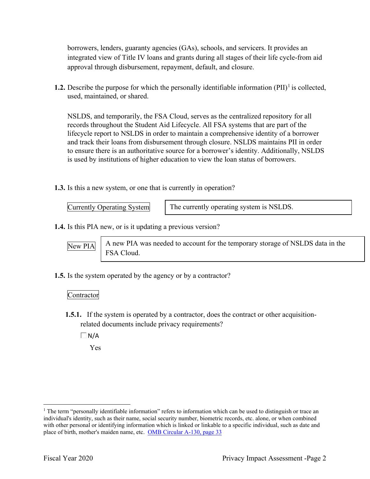integrated view of Title IV loans and grants during all stages of their life cycle-from aid borrowers, lenders, guaranty agencies (GAs), schools, and servicers. It provides an approval through disbursement, repayment, default, and closure.

 used, maintained, or shared. **1.2.** Describe the purpose for which the personally identifiable information  $(PII)^{1}$  is collected,

 records throughout the Student Aid Lifecycle. All FSA systems that are part of the and track their loans from disbursement through closure. NSLDS maintains PII in order is used by institutions of higher education to view the loan status of borrowers. NSLDS, and temporarily, the FSA Cloud, serves as the centralized repository for all lifecycle report to NSLDS in order to maintain a comprehensive identity of a borrower to ensure there is an authoritative source for a borrower's identity. Additionally, NSLDS

**1.3.** Is this a new system, or one that is currently in operation?

**Currently Operating System** The currently operating system is NSLDS.

**1.4.** Is this PIA new, or is it updating a previous version?

New PIA

 $\overline{\text{New PIA}}$   $\overline{\phantom{a}}$  A new PIA was needed to account for the temporary storage of NSLDS data in the FSA Cloud.

**1.5.** Is the system operated by the agency or by a contractor?

#### Contractor

- **1.5.1.** If the system is operated by a contractor, does the contract or other acquisitionrelated documents include privacy requirements?
	- $\Box$ N/A

Yes

 $1$  The term "personally identifiable information" refers to information which can be used to distinguish or trace an individual's identity, such as their name, social security number, biometric records, etc. alone, or when combined with other personal or identifying information which is linked or linkable to a specific individual, such as date and place of birth, mother's maiden name, etc. OMB Circular A-130, page 33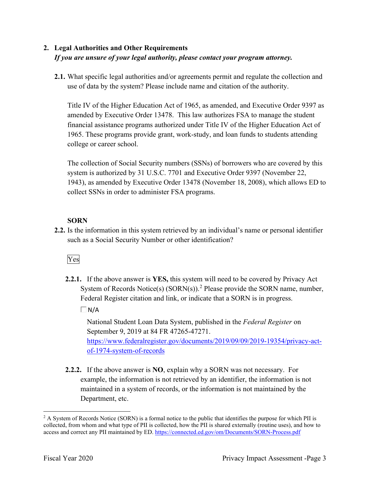### **2. Legal Authorities and Other Requirements**  *If you are unsure of your legal authority, please contact your program attorney.*

 **2.1.** What specific legal authorities and/or agreements permit and regulate the collection and use of data by the system? Please include name and citation of the authority.

 amended by Executive Order 13478. This law authorizes FSA to manage the student financial assistance programs authorized under Title IV of the Higher Education Act of college or career school. Title IV of the Higher Education Act of 1965, as amended, and Executive Order 9397 as 1965. These programs provide grant, work-study, and loan funds to students attending

 collect SSNs in order to administer FSA programs. The collection of Social Security numbers (SSNs) of borrowers who are covered by this system is authorized by 31 U.S.C. 7701 and Executive Order 9397 (November 22, 1943), as amended by Executive Order 13478 (November 18, 2008), which allows ED to

#### **SORN**

 **2.2.** Is the information in this system retrieved by an individual's name or personal identifier such as a Social Security Number or other identification?

### Yes

**2.2.1.** If the above answer is **YES,** this system will need to be covered by Privacy Act System of Records Notice(s)  $(SORN(s))$ .<sup>2</sup> Please provide the SORN name, number, Federal Register citation and link, or indicate that a SORN is in progress.

 $\Box$  N/A

 National Student Loan Data System, published in the *Federal Register* on of-1974-system-of-records September 9, 2019 at 84 FR 47265-47271. <https://www.federalregister.gov/documents/2019/09/09/2019-19354/privacy-act>-

 **2.2.2.** If the above answer is **NO**, explain why a SORN was not necessary. For Department, etc. example, the information is not retrieved by an identifier, the information is not maintained in a system of records, or the information is not maintained by the

Department, etc.<br>2 A System of Records Notice (SORN) is a formal notice to the public that identifies the purpose for which PII is collected, from whom and what type of PII is collected, how the PII is shared externally (routine uses), and how to access and correct any PII maintained by ED. <https://connected.ed.gov/om/Documents/SORN-Process.pdf>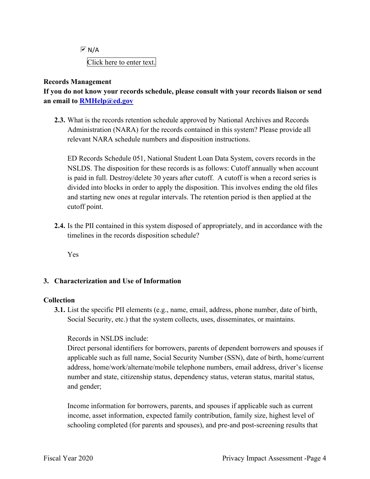Click here to enter text.  $\overline{M}$  N/A

#### **Records Management**

 **an email to [RMHelp@ed.gov](mailto:RMHelp@ed.gov) If you do not know your records schedule, please consult with your records liaison or send** 

 Administration (NARA) for the records contained in this system? Please provide all **2.3.** What is the records retention schedule approved by National Archives and Records relevant NARA schedule numbers and disposition instructions.

 is paid in full. Destroy/delete 30 years after cutoff. A cutoff is when a record series is ED Records Schedule 051, National Student Loan Data System, covers records in the NSLDS. The disposition for these records is as follows: Cutoff annually when account divided into blocks in order to apply the disposition. This involves ending the old files and starting new ones at regular intervals. The retention period is then applied at the cutoff point.

 timelines in the records disposition schedule? **2.4.** Is the PII contained in this system disposed of appropriately, and in accordance with the

Yes

#### **3. Characterization and Use of Information**

#### **Collection**

**3.1.** List the specific PII elements (e.g., name, email, address, phone number, date of birth, Social Security, etc.) that the system collects, uses, disseminates, or maintains.

#### Records in NSLDS include:

 number and state, citizenship status, dependency status, veteran status, marital status, and gender; Direct personal identifiers for borrowers, parents of dependent borrowers and spouses if applicable such as full name, Social Security Number (SSN), date of birth, home/current address, home/work/alternate/mobile telephone numbers, email address, driver's license

Income information for borrowers, parents, and spouses if applicable such as current income, asset information, expected family contribution, family size, highest level of schooling completed (for parents and spouses), and pre-and post-screening results that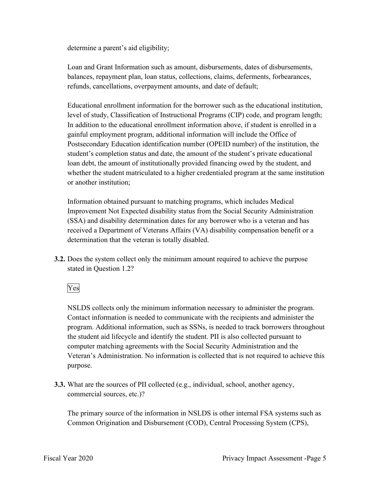determine a parent's aid eligibility;

Loan and Grant Information such as amount, disbursements, dates of disbursements, balances, repayment plan, loan status, collections, claims, deferments, forbearances, refunds, cancellations, overpayment amounts, and date of default;

 level of study, Classification of Instructional Programs (CIP) code, and program length; Postsecondary Education identification number (OPEID number) of the institution, the student's completion status and date, the amount of the student's private educational whether the student matriculated to a higher credentialed program at the same institution Educational enrollment information for the borrower such as the educational institution, In addition to the educational enrollment information above, if student is enrolled in a gainful employment program, additional information will include the Office of loan debt, the amount of institutionally provided financing owed by the student, and or another institution;

Information obtained pursuant to matching programs, which includes Medical Improvement Not Expected disability status from the Social Security Administration (SSA) and disability determination dates for any borrower who is a veteran and has received a Department of Veterans Affairs (VA) disability compensation benefit or a determination that the veteran is totally disabled.

 **3.2.** Does the system collect only the minimum amount required to achieve the purpose stated in Question 1.2?<br>Yes

 Contact information is needed to communicate with the recipients and administer the NSLDS collects only the minimum information necessary to administer the program. program. Additional information, such as SSNs, is needed to track borrowers throughout the student aid lifecycle and identify the student. PII is also collected pursuant to computer matching agreements with the Social Security Administration and the Veteran's Administration. No information is collected that is not required to achieve this purpose.

**3.3.** What are the sources of PII collected (e.g., individual, school, another agency, commercial sources, etc.)?

 The primary source of the information in NSLDS is other internal FSA systems such as Common Origination and Disbursement (COD), Central Processing System (CPS),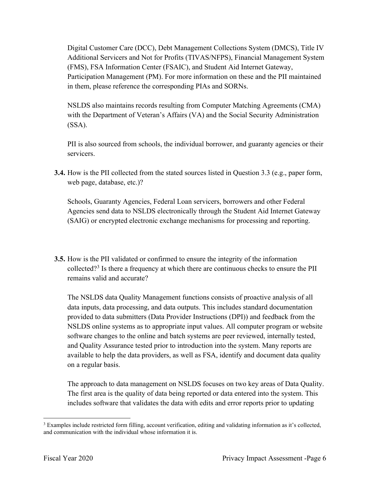Digital Customer Care (DCC), Debt Management Collections System (DMCS), Title IV in them, please reference the corresponding PIAs and SORNs. Additional Servicers and Not for Profits (TIVAS/NFPS), Financial Management System (FMS), FSA Information Center (FSAIC), and Student Aid Internet Gateway, Participation Management (PM). For more information on these and the PII maintained

NSLDS also maintains records resulting from Computer Matching Agreements (CMA) with the Department of Veteran's Affairs (VA) and the Social Security Administration (SSA).

PII is also sourced from schools, the individual borrower, and guaranty agencies or their servicers.

 **3.4.** How is the PII collected from the stated sources listed in Question 3.3 (e.g., paper form, web page, database, etc.)?

 Schools, Guaranty Agencies, Federal Loan servicers, borrowers and other Federal Agencies send data to NSLDS electronically through the Student Aid Internet Gateway (SAIG) or encrypted electronic exchange mechanisms for processing and reporting.

 **3.5.** How is the PII validated or confirmed to ensure the integrity of the information collected?<sup>3</sup> Is there a frequency at which there are continuous checks to ensure the PII remains valid and accurate?

 NSLDS online systems as to appropriate input values. All computer program or website software changes to the online and batch systems are peer reviewed, internally tested, and Quality Assurance tested prior to introduction into the system. Many reports are The NSLDS data Quality Management functions consists of proactive analysis of all data inputs, data processing, and data outputs. This includes standard documentation provided to data submitters (Data Provider Instructions (DPI)) and feedback from the available to help the data providers, as well as FSA, identify and document data quality on a regular basis.

 The first area is the quality of data being reported or data entered into the system. This The approach to data management on NSLDS focuses on two key areas of Data Quality. includes software that validates the data with edits and error reports prior to updating

 $3$  Examples include restricted form filling, account verification, editing and validating information as it's collected, and communication with the individual whose information it is.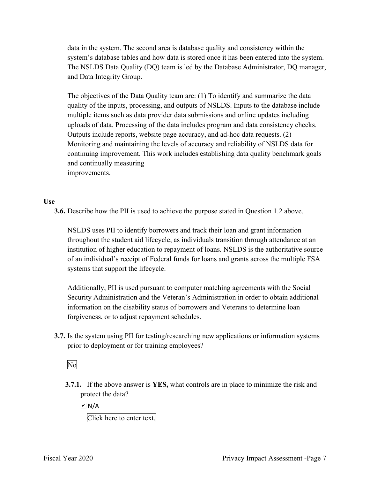The NSLDS Data Quality (DQ) team is led by the Database Administrator, DQ manager, data in the system. The second area is database quality and consistency within the system's database tables and how data is stored once it has been entered into the system. and Data Integrity Group.

 quality of the inputs, processing, and outputs of NSLDS. Inputs to the database include The objectives of the Data Quality team are: (1) To identify and summarize the data multiple items such as data provider data submissions and online updates including uploads of data. Processing of the data includes program and data consistency checks. Outputs include reports, website page accuracy, and ad-hoc data requests. (2) Monitoring and maintaining the levels of accuracy and reliability of NSLDS data for continuing improvement. This work includes establishing data quality benchmark goals and continually measuring improvements.

#### **Use**

**3.6.** Describe how the PII is used to achieve the purpose stated in Question 1.2 above.

 throughout the student aid lifecycle, as individuals transition through attendance at an NSLDS uses PII to identify borrowers and track their loan and grant information institution of higher education to repayment of loans. NSLDS is the authoritative source of an individual's receipt of Federal funds for loans and grants across the multiple FSA systems that support the lifecycle.

 forgiveness, or to adjust repayment schedules. Additionally, PII is used pursuant to computer matching agreements with the Social Security Administration and the Veteran's Administration in order to obtain additional information on the disability status of borrowers and Veterans to determine loan

 **3.7.** Is the system using PII for testing/researching new applications or information systems prior to deployment or for training employees?<br>No

 **3.7.1.** If the above answer is **YES,** what controls are in place to minimize the risk and protect the data?

 $\overline{M}$  N/A

Click here to enter text.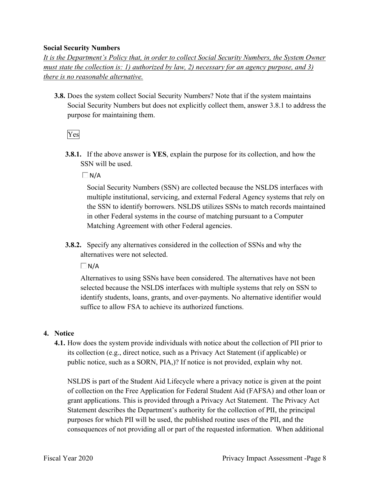#### **Social Security Numbers**

*It is the Department's Policy that, in order to collect Social Security Numbers, the System Owner must state the collection is: 1) authorized by law, 2) necessary for an agency purpose, and 3) there is no reasonable alternative.* 

 **3.8.** Does the system collect Social Security Numbers? Note that if the system maintains Social Security Numbers but does not explicitly collect them, answer 3.8.1 to address the purpose for maintaining them.

Yes

**3.8.1.** If the above answer is **YES**, explain the purpose for its collection, and how the SSN will be used.

 $\Box$ N/A

 the SSN to identify borrowers. NSLDS utilizes SSNs to match records maintained in other Federal systems in the course of matching pursuant to a Computer Social Security Numbers (SSN) are collected because the NSLDS interfaces with multiple institutional, servicing, and external Federal Agency systems that rely on Matching Agreement with other Federal agencies.

 **3.8.2.** Specify any alternatives considered in the collection of SSNs and why the alternatives were not selected.

 $\Box N/A$ 

Alternatives to using SSNs have been considered. The alternatives have not been selected because the NSLDS interfaces with multiple systems that rely on SSN to identify students, loans, grants, and over-payments. No alternative identifier would suffice to allow FSA to achieve its authorized functions.

#### **4. Notice**

 its collection (e.g., direct notice, such as a Privacy Act Statement (if applicable) or **4.1.** How does the system provide individuals with notice about the collection of PII prior to public notice, such as a SORN, PIA,)? If notice is not provided, explain why not.

 of collection on the Free Application for Federal Student Aid (FAFSA) and other loan or consequences of not providing all or part of the requested information. When additional NSLDS is part of the Student Aid Lifecycle where a privacy notice is given at the point grant applications. This is provided through a Privacy Act Statement. The Privacy Act Statement describes the Department's authority for the collection of PII, the principal purposes for which PII will be used, the published routine uses of the PII, and the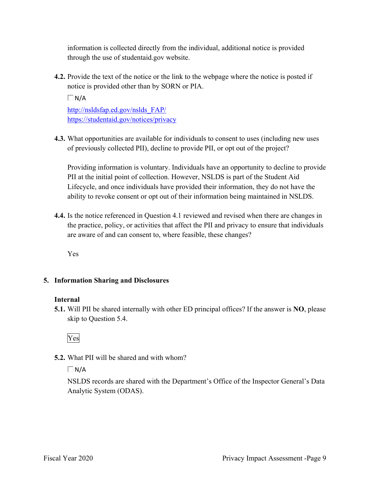through the use of [studentaid.gov](https://studentaid.gov) website. information is collected directly from the individual, additional notice is provided

**4.2.** Provide the text of the notice or the link to the webpage where the notice is posted if notice is provided other than by SORN or PIA.

http://nsldsfap.ed.gov/nslds FAP/ [http://nsldsfap.ed.gov/nslds\\_FAP/](http://nsldsfap.ed.gov/nslds_FAP)<br>https://studentaid.gov/notices/privacy  $\Box$ N/A

 **4.3.** What opportunities are available for individuals to consent to uses (including new uses of previously collected PII), decline to provide PII, or opt out of the project?

 Providing information is voluntary. Individuals have an opportunity to decline to provide Lifecycle, and once individuals have provided their information, they do not have the ability to revoke consent or opt out of their information being maintained in NSLDS. PII at the initial point of collection. However, NSLDS is part of the Student Aid

 the practice, policy, or activities that affect the PII and privacy to ensure that individuals **4.4.** Is the notice referenced in Question 4.1 reviewed and revised when there are changes in are aware of and can consent to, where feasible, these changes?

Yes

#### **5. Information Sharing and Disclosures**

#### **Internal**

 **5.1.** Will PII be shared internally with other ED principal offices? If the answer is **NO**, please skip to Question 5.4.

Yes

**5.2.** What PII will be shared and with whom?

 $\Box$ N/A

NSLDS records are shared with the Department's Office of the Inspector General's Data Analytic System (ODAS).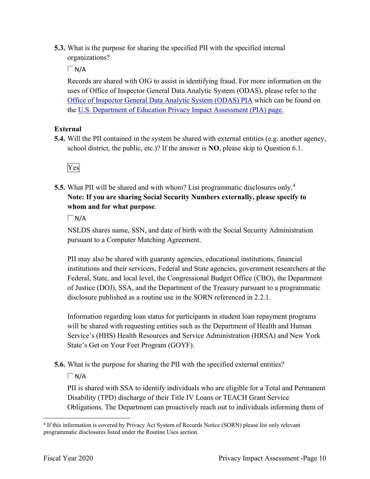**5.3.** What is the purpose for sharing the specified PII with the specified internal organizations?

 $\Box$  N/A

 Records are shared with OIG to assist in identifying fraud. For more information on the uses of Office of Inspector General Data Analytic System (ODAS), please refer to the Office of Inspector General Data Analytic System (ODAS) PIA which can be found on the U.S. Department of Education Privacy Impact Assessment (PIA) page.

#### **External**

 **5.4.** Will the PII contained in the system be shared with external entities (e.g. another agency, school district, the public, etc.)? If the answer is **NO**, please skip to Question 6.1.



 **5.5.** What PII will be shared and with whom? List programmatic disclosures only. 4  **Note: If you are sharing Social Security Numbers externally, please specify to whom and for what purpose**.

 $\Box$ N/A

 pursuant to a Computer Matching Agreement. NSLDS shares name, SSN, and date of birth with the Social Security Administration

PII may also be shared with guaranty agencies, educational institutions, financial institutions and their servicers, Federal and State agencies, government researchers at the Federal, State, and local level, the Congressional Budget Office (CBO), the Department of Justice (DOJ), SSA, and the Department of the Treasury pursuant to a programmatic disclosure published as a routine use in the SORN referenced in 2.2.1.

Information regarding loan status for participants in student loan repayment programs will be shared with requesting entities such as the Department of Health and Human Service's (HHS) Health Resources and Service Administration (HRSA) and New York State's Get on Your Feet Program (GOYF).

**5.6.** What is the purpose for sharing the PII with the specified external entities?

 $\Box$ N/A

PII is shared with SSA to identify individuals who are eligible for a Total and Permanent Disability (TPD) discharge of their Title IV Loans or TEACH Grant Service Obligations. The Department can proactively reach out to individuals informing them of

<sup>&</sup>lt;sup>4</sup> If this information is covered by Privacy Act System of Records Notice (SORN) please list only relevant programmatic disclosures listed under the Routine Uses section.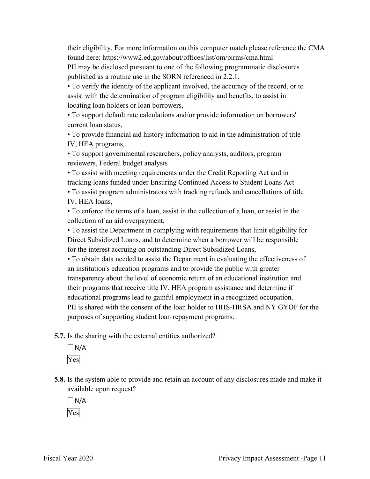their eligibility. For more information on this computer match please reference the CMA found here: <https://www2.ed.gov/about/offices/list/om/pirms/cma.html> PII may be disclosed pursuant to one of the following programmatic disclosures published as a routine use in the SORN referenced in 2.2.1.

• To verify the identity of the applicant involved, the accuracy of the record, or to assist with the determination of program eligibility and benefits, to assist in locating loan holders or loan borrowers,

 • To support default rate calculations and/or provide information on borrowers' current loan status,

 • To provide financial aid history information to aid in the administration of title IV, HEA programs,

• To support governmental researchers, policy analysts, auditors, program reviewers, Federal budget analysts

 • To assist program administrators with tracking refunds and cancellations of title • To assist with meeting requirements under the Credit Reporting Act and in tracking loans funded under Ensuring Continued Access to Student Loans Act

IV, HEA loans,

• To enforce the terms of a loan, assist in the collection of a loan, or assist in the collection of an aid overpayment,

• To assist the Department in complying with requirements that limit eligibility for Direct Subsidized Loans, and to determine when a borrower will be responsible for the interest accruing on outstanding Direct Subsidized Loans,

 • To obtain data needed to assist the Department in evaluating the effectiveness of an institution's education programs and to provide the public with greater transparency about the level of economic return of an educational institution and their programs that receive title IV, HEA program assistance and determine if educational programs lead to gainful employment in a recognized occupation. PII is shared with the consent of the loan holder to HHS-HRSA and NY GYOF for the purposes of supporting student loan repayment programs.

**5.7.** Is the sharing with the external entities authorized?

 $\Box$ N/A Yes

 **5.8.** Is the system able to provide and retain an account of any disclosures made and make it available upon request?

 $\Box$ N/A Yes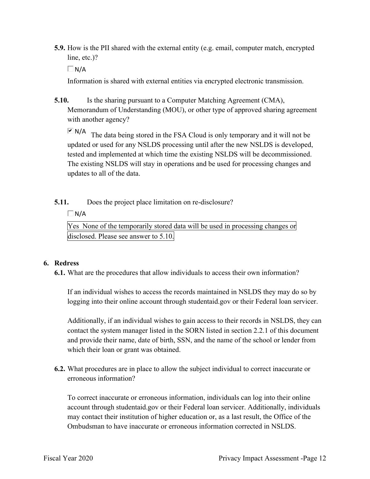**5.9.** How is the PII shared with the external entity (e.g. email, computer match, encrypted line, etc.)?

 $\Box$  N/A

Information is shared with external entities via encrypted electronic transmission.

**5.10.** Is the sharing pursuant to a Computer Matching Agreement (CMA), Memorandum of Understanding (MOU), or other type of approved sharing agreement with another agency?

 $N/A$  The data being stored in the FSA Cloud is only temporary and it will not be tested and implemented at which time the existing NSLDS will be decommissioned. updated or used for any NSLDS processing until after the new NSLDS is developed, The existing NSLDS will stay in operations and be used for processing changes and updates to all of the data.

#### **5.11.** Does the project place limitation on re-disclosure?

 $\Box N/A$ 

 Yes None of the temporarily stored data will be used in processing changes or disclosed. Please see answer to 5.10.

#### **6. Redress**

**6.1.** What are the procedures that allow individuals to access their own information?

 If an individual wishes to access the records maintained in NSLDS they may do so by logging into their online account through [studentaid.gov](https://studentaid.gov) or their Federal loan servicer.

 contact the system manager listed in the SORN listed in section 2.2.1 of this document and provide their name, date of birth, SSN, and the name of the school or lender from Additionally, if an individual wishes to gain access to their records in NSLDS, they can which their loan or grant was obtained.

 **6.2.** What procedures are in place to allow the subject individual to correct inaccurate or erroneous information?

To correct inaccurate or erroneous information, individuals can log into their online account through [studentaid.gov](https://studentaid.gov) or their Federal loan servicer. Additionally, individuals may contact their institution of higher education or, as a last result, the Office of the Ombudsman to have inaccurate or erroneous information corrected in NSLDS.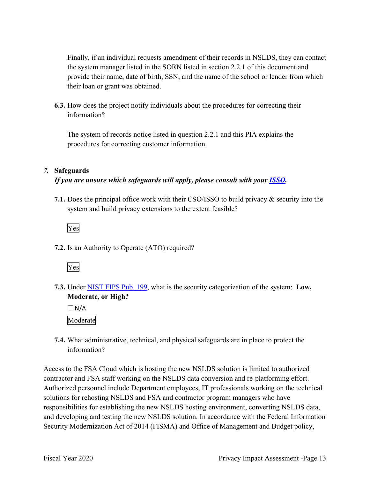Finally, if an individual requests amendment of their records in NSLDS, they can contact the system manager listed in the SORN listed in section 2.2.1 of this document and provide their name, date of birth, SSN, and the name of the school or lender from which their loan or grant was obtained.

**6.3.** How does the project notify individuals about the procedures for correcting their information?

The system of records notice listed in question 2.2.1 and this PIA explains the procedures for correcting customer information.

#### *7.* **Safeguards**

#### *If you are unsure which safeguards will apply, please consult with your ISSO.*

 **7.1.** Does the principal office work with their CSO/ISSO to build privacy & security into the system and build privacy extensions to the extent feasible?



**7.2.** Is an Authority to Operate (ATO) required?



 **7.3.** Under NIST FIPS Pub. 199, what is the security categorization of the system: **Low, Moderate, or High?** 

 $\Box$ N/A Moderate

 **7.4.** What administrative, technical, and physical safeguards are in place to protect the information?

Access to the FSA Cloud which is hosting the new NSLDS solution is limited to authorized contractor and FSA staff working on the NSLDS data conversion and re-platforming effort. Authorized personnel include Department employees, IT professionals working on the technical solutions for rehosting NSLDS and FSA and contractor program managers who have responsibilities for establishing the new NSLDS hosting environment, converting NSLDS data, and developing and testing the new NSLDS solution. In accordance with the Federal Information Security Modernization Act of 2014 (FISMA) and Office of Management and Budget policy,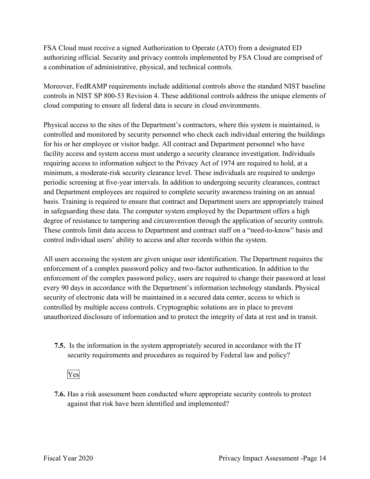FSA Cloud must receive a signed Authorization to Operate (ATO) from a designated ED authorizing official. Security and privacy controls implemented by FSA Cloud are comprised of a combination of administrative, physical, and technical controls.

 controls in NIST SP 800-53 Revision 4. These additional controls address the unique elements of Moreover, FedRAMP requirements include additional controls above the standard NIST baseline cloud computing to ensure all federal data is secure in cloud environments.

 minimum, a moderate-risk security clearance level. These individuals are required to undergo basis. Training is required to ensure that contract and Department users are appropriately trained Physical access to the sites of the Department's contractors, where this system is maintained, is controlled and monitored by security personnel who check each individual entering the buildings for his or her employee or visitor badge. All contract and Department personnel who have facility access and system access must undergo a security clearance investigation. Individuals requiring access to information subject to the Privacy Act of 1974 are required to hold, at a periodic screening at five-year intervals. In addition to undergoing security clearances, contract and Department employees are required to complete security awareness training on an annual in safeguarding these data. The computer system employed by the Department offers a high degree of resistance to tampering and circumvention through the application of security controls. These controls limit data access to Department and contract staff on a "need-to-know" basis and control individual users' ability to access and alter records within the system.

 All users accessing the system are given unique user identification. The Department requires the enforcement of the complex password policy, users are required to change their password at least enforcement of a complex password policy and two-factor authentication. In addition to the every 90 days in accordance with the Department's information technology standards. Physical security of electronic data will be maintained in a secured data center, access to which is controlled by multiple access controls. Cryptographic solutions are in place to prevent unauthorized disclosure of information and to protect the integrity of data at rest and in transit.

 **7.5.** Is the information in the system appropriately secured in accordance with the IT security requirements and procedures as required by Federal law and policy?

### Yes

**7.6.** Has a risk assessment been conducted where appropriate security controls to protect against that risk have been identified and implemented?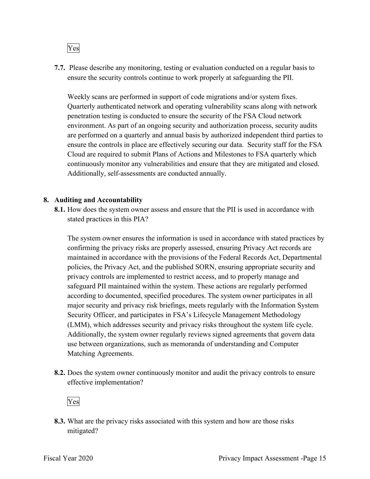Yes

 ensure the security controls continue to work properly at safeguarding the PII. **7.7.** Please describe any monitoring, testing or evaluation conducted on a regular basis to

 penetration testing is conducted to ensure the security of the FSA Cloud network Weekly scans are performed in support of code migrations and/or system fixes. Quarterly authenticated network and operating vulnerability scans along with network environment. As part of an ongoing security and authorization process, security audits are performed on a quarterly and annual basis by authorized independent third parties to ensure the controls in place are effectively securing our data. Security staff for the FSA Cloud are required to submit Plans of Actions and Milestones to FSA quarterly which continuously monitor any vulnerabilities and ensure that they are mitigated and closed. Additionally, self-assessments are conducted annually.

#### **8. Auditing and Accountability**

 **8.1.** How does the system owner assess and ensure that the PII is used in accordance with stated practices in this PIA?

 confirming the privacy risks are properly assessed, ensuring Privacy Act records are policies, the Privacy Act, and the published SORN, ensuring appropriate security and privacy controls are implemented to restrict access, and to properly manage and Additionally, the system owner regularly reviews signed agreements that govern data The system owner ensures the information is used in accordance with stated practices by maintained in accordance with the provisions of the Federal Records Act, Departmental safeguard PII maintained within the system. These actions are regularly performed according to documented, specified procedures. The system owner participates in all major security and privacy risk briefings, meets regularly with the Information System Security Officer, and participates in FSA's Lifecycle Management Methodology (LMM), which addresses security and privacy risks throughout the system life cycle. use between organizations, such as memoranda of understanding and Computer Matching Agreements.

**8.2.** Does the system owner continuously monitor and audit the privacy controls to ensure effective implementation?



mitigated? **8.3.** What are the privacy risks associated with this system and how are those risks mitigated?<br>Fiscal Year 2020 Privacy Impact Assessment -Page 15